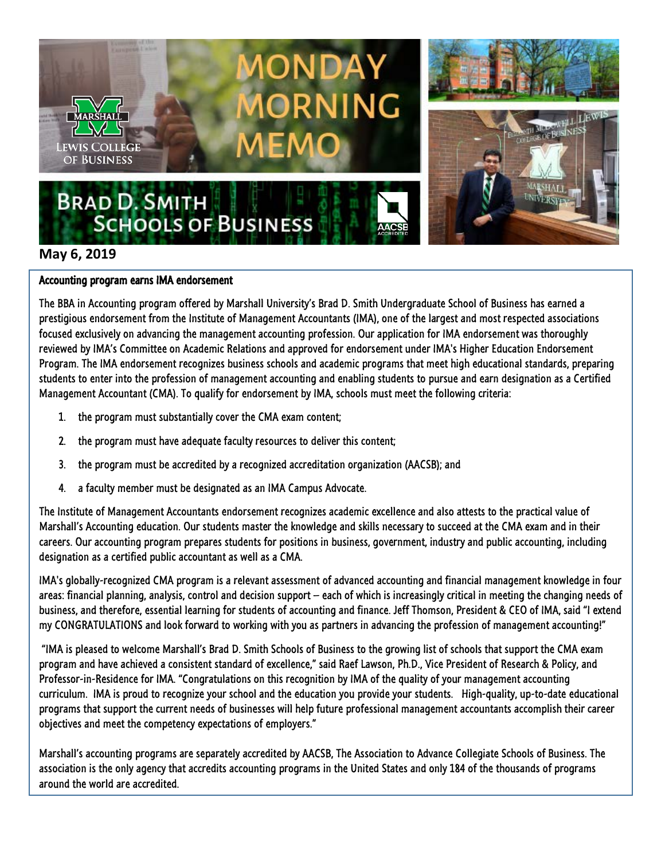

## **May 6, 2019**

## Accounting program earns IMA endorsement

The BBA in Accounting program offered by Marshall University's Brad D. Smith Undergraduate School of Business has earned a prestigious endorsement from the Institute of Management Accountants (IMA), one of the largest and most respected associations focused exclusively on advancing the management accounting profession. Our application for IMA endorsement was thoroughly reviewed by IMA's Committee on Academic Relations and approved for endorsement under IMA's Higher Education Endorsement Program. The IMA endorsement recognizes business schools and academic programs that meet high educational standards, preparing students to enter into the profession of management accounting and enabling students to pursue and earn designation as a Certified Management Accountant (CMA). To qualify for endorsement by IMA, schools must meet the following criteria:

- 1. the program must substantially cover the CMA exam content;
- 2. the program must have adequate faculty resources to deliver this content;
- 3. the program must be accredited by a recognized accreditation organization (AACSB); and
- 4. a faculty member must be designated as an IMA Campus Advocate.

The Institute of Management Accountants endorsement recognizes academic excellence and also attests to the practical value of Marshall's Accounting education. Our students master the knowledge and skills necessary to succeed at the CMA exam and in their careers. Our accounting program prepares students for positions in business, government, industry and public accounting, including designation as a certified public accountant as well as a CMA.

IMA's globally-recognized CMA program is a relevant assessment of advanced accounting and financial management knowledge in four areas: financial planning, analysis, control and decision support – each of which is increasingly critical in meeting the changing needs of business, and therefore, essential learning for students of accounting and finance. Jeff Thomson, President & CEO of IMA, said "I extend my CONGRATULATIONS and look forward to working with you as partners in advancing the profession of management accounting!"

"IMA is pleased to welcome Marshall's Brad D. Smith Schools of Business to the growing list of schools that support the CMA exam program and have achieved a consistent standard of excellence," said Raef Lawson, Ph.D., Vice President of Research & Policy, and Professor-in-Residence for IMA. "Congratulations on this recognition by IMA of the quality of your management accounting curriculum. IMA is proud to recognize your school and the education you provide your students. High-quality, up-to-date educational programs that support the current needs of businesses will help future professional management accountants accomplish their career objectives and meet the competency expectations of employers."

Marshall's accounting programs are separately accredited by AACSB, The Association to Advance Collegiate Schools of Business. The association is the only agency that accredits accounting programs in the United States and only 184 of the thousands of programs around the world are accredited.